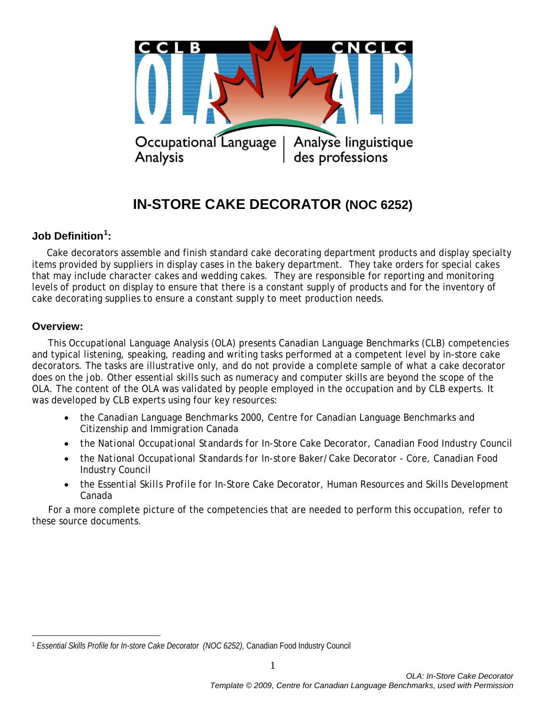

# **IN-STORE CAKE DECORATOR (NOC 6252)**

# **Job Definition[1](#page-0-0) :**

 Cake decorators assemble and finish standard cake decorating department products and display specialty items provided by suppliers in display cases in the bakery department. They take orders for special cakes that may include character cakes and wedding cakes. They are responsible for reporting and monitoring levels of product on display to ensure that there is a constant supply of products and for the inventory of cake decorating supplies to ensure a constant supply to meet production needs.

#### **Overview:**

 $\overline{a}$ 

This Occupational Language Analysis (OLA) presents Canadian Language Benchmarks (CLB) competencies and typical listening, speaking, reading and writing tasks performed at a competent level by in-store cake decorators. The tasks are illustrative only, and do not provide a complete sample of what a cake decorator does on the job. Other essential skills such as numeracy and computer skills are beyond the scope of the OLA. The content of the OLA was validated by people employed in the occupation and by CLB experts. It was developed by CLB experts using four key resources:

- the *Canadian Language Benchmarks 2000*, Centre for Canadian Language Benchmarks and Citizenship and Immigration Canada
- *the National Occupational Standards for In-Store Cake Decorator,* Canadian Food Industry Council
- the *National Occupational Standards for In-store Baker/Cake Decorator - Core*, Canadian Food Industry Council
- the *Essential Skills Profile for* In-Store Cake Decorator, Human Resources and Skills Development Canada

For a more complete picture of the competencies that are needed to perform this occupation, refer to these source documents.

<span id="page-0-0"></span><sup>1</sup> *Essential Skills Profile for In-store Cake Decorator (NOC 6252),* Canadian Food Industry Council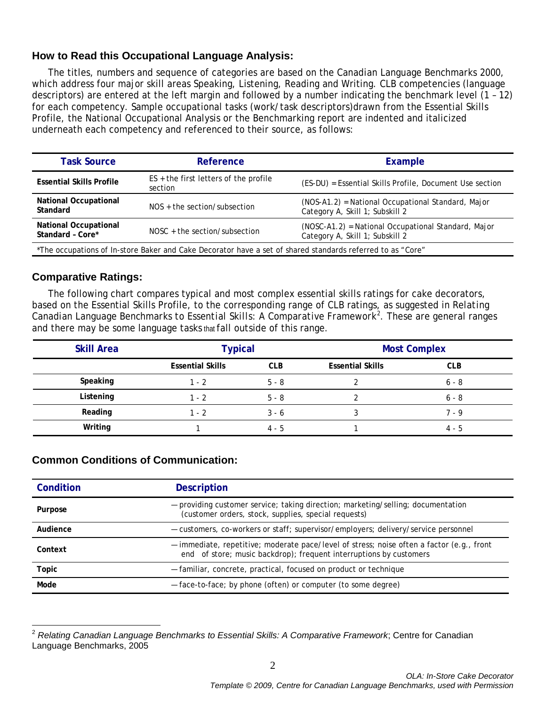## **How to Read this Occupational Language Analysis:**

The titles, numbers and sequence of categories are based on the *Canadian Language Benchmarks 2000*, which address four major skill areas Speaking, Listening, Reading and Writing. CLB competencies (language descriptors) are entered at the left margin and followed by a number indicating the benchmark level (1 – 12) for each competency. Sample occupational tasks (work/task descriptors)drawn from the Essential Skills Profile, the National Occupational Analysis or the Benchmarking report are indented and italicized underneath each competency and referenced to their source, as follows:

| <b>Task Source</b>                                                                                         | Reference                                          | Example                                                                                |  |  |
|------------------------------------------------------------------------------------------------------------|----------------------------------------------------|----------------------------------------------------------------------------------------|--|--|
| <b>Essential Skills Profile</b>                                                                            | $ES +$ the first letters of the profile<br>section | (ES-DU) = Essential Skills Profile, Document Use section                               |  |  |
| <b>National Occupational</b><br>Standard                                                                   | $NOS +$ the section/subsection                     | (NOS-A1.2) = National Occupational Standard, Major<br>Category A, Skill 1; Subskill 2  |  |  |
| <b>National Occupational</b><br>Standard - Core*                                                           | $NOSC + the section/subsection$                    | (NOSC-A1.2) = National Occupational Standard, Major<br>Category A, Skill 1; Subskill 2 |  |  |
| *The occupations of In-store Baker and Cake Decorator have a set of shared standards referred to as "Core" |                                                    |                                                                                        |  |  |

### **Comparative Ratings:**

The following chart compares typical and most complex essential skills ratings for cake decorators, based on the Essential Skills Profile, to the corresponding range of CLB ratings, as suggested in *Relating Canadian Language Benchmarks to Essential Skills: A Comparative Framework[2](#page-1-0)* . These are general ranges and there may be some language tasks that fall outside of this range.

| <b>Skill Area</b> | <b>Typical</b>          |            |                         | <b>Most Complex</b> |
|-------------------|-------------------------|------------|-------------------------|---------------------|
|                   | <b>Essential Skills</b> | <b>CLB</b> | <b>Essential Skills</b> | <b>CLB</b>          |
| Speaking          | $1 - 2$                 | $5 - 8$    |                         | $6 - 8$             |
| Listening         | $1 - 2$                 | $5 - 8$    |                         | $6 - 8$             |
| Reading           | $1 - 2$                 | $3 - 6$    |                         | 7 - 9               |
| Writing           |                         | $4 - 5$    |                         | $4 - 5$             |

#### **Common Conditions of Communication:**

| Condition | <b>Description</b>                                                                                                                                              |
|-----------|-----------------------------------------------------------------------------------------------------------------------------------------------------------------|
| Purpose   | - providing customer service; taking direction; marketing/selling; documentation<br>(customer orders, stock, supplies, special requests)                        |
| Audience  | - customers, co-workers or staff; supervisor/employers; delivery/service personnel                                                                              |
| Context   | - immediate, repetitive; moderate pace/level of stress; noise often a factor (e.g., front<br>end of store; music backdrop); frequent interruptions by customers |
| Topic     | - familiar, concrete, practical, focused on product or technique                                                                                                |
| Mode      | - face-to-face; by phone (often) or computer (to some degree)                                                                                                   |

<span id="page-1-0"></span><sup>2</sup> *Relating Canadian Language Benchmarks to Essential Skills: A Comparative Framework*; Centre for Canadian Language Benchmarks, 2005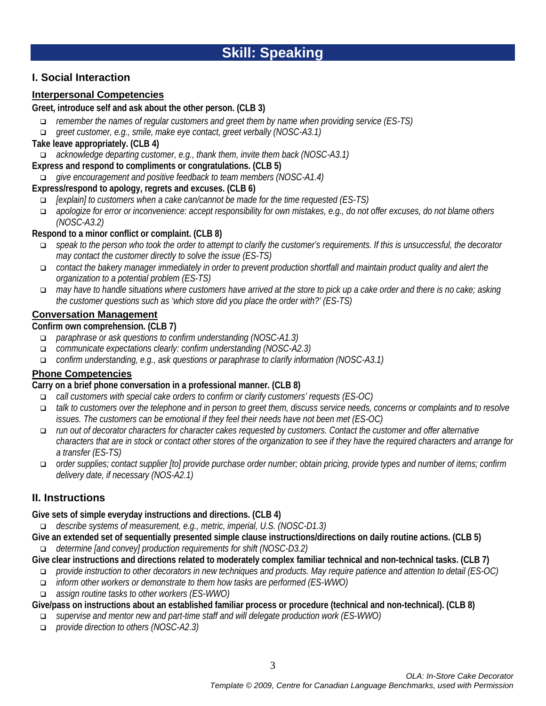# **I. Social Interaction**

# **Interpersonal Competencies**

## **Greet, introduce self and ask about the other person. (CLB 3)**

- *remember the names of regular customers and greet them by name when providing service (ES-TS)*
- *greet customer, e.g., smile, make eye contact, greet verbally (NOSC-A3.1)*

### **Take leave appropriately. (CLB 4)**

*acknowledge departing customer, e.g., thank them, invite them back (NOSC-A3.1)*

#### **Express and respond to compliments or congratulations. (CLB 5)**

*give encouragement and positive feedback to team members (NOSC-A1.4)*

# **Express/respond to apology, regrets and excuses. (CLB 6)**

- *[explain] to customers when a cake can/cannot be made for the time requested (ES-TS)*
- *apologize for error or inconvenience: accept responsibility for own mistakes, e.g., do not offer excuses, do not blame others (NOSC-A3.2)*

# **Respond to a minor conflict or complaint. (CLB 8)**

- *speak to the person who took the order to attempt to clarify the customer's requirements. If this is unsuccessful, the decorator may contact the customer directly to solve the issue (ES-TS)*
- *contact the bakery manager immediately in order to prevent production shortfall and maintain product quality and alert the organization to a potential problem (ES-TS)*
- *may have to handle situations where customers have arrived at the store to pick up a cake order and there is no cake; asking the customer questions such as 'which store did you place the order with?' (ES-TS)*

### **Conversation Management**

**Confirm own comprehension. (CLB 7)**

- *paraphrase or ask questions to confirm understanding (NOSC-A1.3)*
- *communicate expectations clearly: confirm understanding (NOSC-A2.3)*
- *confirm understanding, e.g., ask questions or paraphrase to clarify information (NOSC-A3.1)*

# **Phone Competencies**

# **Carry on a brief phone conversation in a professional manner. (CLB 8)**

- *call customers with special cake orders to confirm or clarify customers' requests (ES-OC)*
- *talk to customers over the telephone and in person to greet them, discuss service needs, concerns or complaints and to resolve issues. The customers can be emotional if they feel their needs have not been met (ES-OC)*
- *run out of decorator characters for character cakes requested by customers. Contact the customer and offer alternative characters that are in stock or contact other stores of the organization to see if they have the required characters and arrange for a transfer (ES-TS)*
- *order supplies; contact supplier [to] provide purchase order number; obtain pricing, provide types and number of items; confirm delivery date, if necessary (NOS-A2.1)*

# **II. Instructions**

#### **Give sets of simple everyday instructions and directions. (CLB 4)**

*describe systems of measurement, e.g., metric, imperial, U.S. (NOSC-D1.3)*

**Give an extended set of sequentially presented simple clause instructions/directions on daily routine actions. (CLB 5)** *determine [and convey] production requirements for shift (NOSC-D3.2)*

**Give clear instructions and directions related to moderately complex familiar technical and non-technical tasks. (CLB 7)**

- *provide instruction to other decorators in new techniques and products. May require patience and attention to detail (ES-OC)*
- *inform other workers or demonstrate to them how tasks are performed (ES-WWO)*
- *assign routine tasks to other workers (ES-WWO)*

**Give/pass on instructions about an established familiar process or procedure (technical and non-technical). (CLB 8)**

- *supervise and mentor new and part-time staff and will delegate production work (ES-WWO)*
- *provide direction to others (NOSC-A2.3)*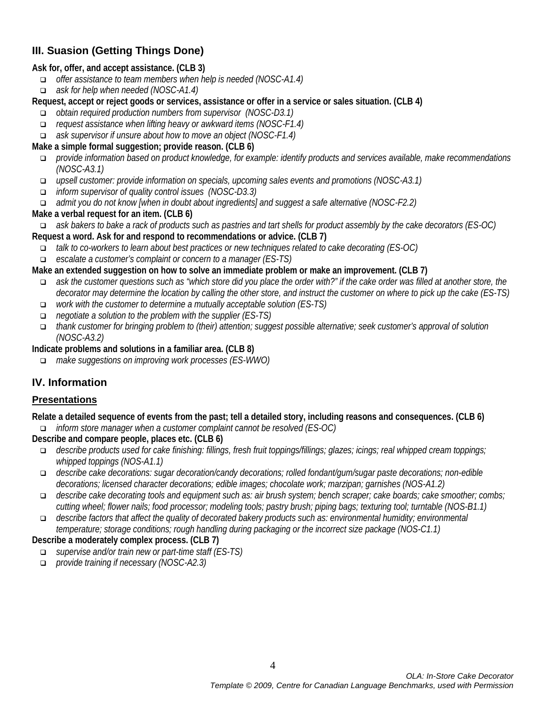# **III. Suasion (Getting Things Done)**

#### **Ask for, offer, and accept assistance. (CLB 3)**

- *offer assistance to team members when help is needed (NOSC-A1.4)*
- *ask for help when needed (NOSC-A1.4)*

**Request, accept or reject goods or services, assistance or offer in a service or sales situation. (CLB 4)**

- *obtain required production numbers from supervisor (NOSC-D3.1)*
- *request assistance when lifting heavy or awkward items (NOSC-F1.4)*
- *ask supervisor if unsure about how to move an object (NOSC-F1.4)*

#### **Make a simple formal suggestion; provide reason. (CLB 6)**

- *provide information based on product knowledge, for example: identify products and services available, make recommendations (NOSC-A3.1)*
- *upsell customer: provide information on specials, upcoming sales events and promotions (NOSC-A3.1)*
- *inform supervisor of quality control issues (NOSC-D3.3)*
- *admit you do not know [when in doubt about ingredients] and suggest a safe alternative (NOSC-F2.2)*

#### **Make a verbal request for an item. (CLB 6)**

- *ask bakers to bake a rack of products such as pastries and tart shells for product assembly by the cake decorators (ES-OC)* **Request a word. Ask for and respond to recommendations or advice. (CLB 7)**
	- *talk to co-workers to learn about best practices or new techniques related to cake decorating (ES-OC)*
	- *escalate a customer's complaint or concern to a manager (ES-TS)*

#### **Make an extended suggestion on how to solve an immediate problem or make an improvement. (CLB 7)**

- *ask the customer questions such as "which store did you place the order with?" if the cake order was filled at another store, the decorator may determine the location by calling the other store, and instruct the customer on where to pick up the cake (ES-TS)*
- *work with the customer to determine a mutually acceptable solution (ES-TS)*
- *negotiate a solution to the problem with the supplier (ES-TS)*
- *thank customer for bringing problem to (their) attention; suggest possible alternative; seek customer's approval of solution (NOSC-A3.2)*
- **Indicate problems and solutions in a familiar area. (CLB 8)**
	- *make suggestions on improving work processes (ES-WWO)*

# **IV. Information**

#### **Presentations**

**Relate a detailed sequence of events from the past; tell a detailed story, including reasons and consequences. (CLB 6)** *inform store manager when a customer complaint cannot be resolved (ES-OC)*

**Describe and compare people, places etc. (CLB 6)**

- *describe products used for cake finishing: fillings, fresh fruit toppings/fillings; glazes; icings; real whipped cream toppings; whipped toppings (NOS-A1.1)*
- *describe cake decorations: sugar decoration/candy decorations; rolled fondant/gum/sugar paste decorations; non-edible decorations; licensed character decorations; edible images; chocolate work; marzipan; garnishes (NOS-A1.2)*
- *describe cake decorating tools and equipment such as: air brush system; bench scraper; cake boards; cake smoother; combs; cutting wheel; flower nails; food processor; modeling tools; pastry brush; piping bags; texturing tool; turntable (NOS-B1.1)*
- *describe factors that affect the quality of decorated bakery products such as: environmental humidity; environmental temperature; storage conditions; rough handling during packaging or the incorrect size package (NOS-C1.1)*

#### **Describe a moderately complex process. (CLB 7)**

- *supervise and/or train new or part-time staff (ES-TS)*
- *provide training if necessary (NOSC-A2.3)*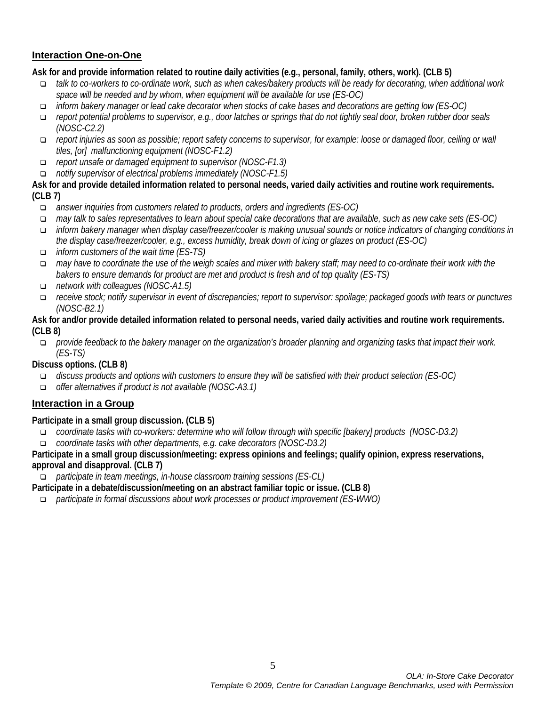## **Interaction One-on-One**

**Ask for and provide information related to routine daily activities (e.g., personal, family, others, work). (CLB 5)**

- *talk to co-workers to co-ordinate work, such as when cakes/bakery products will be ready for decorating, when additional work space will be needed and by whom, when equipment will be available for use (ES-OC)*
- *inform bakery manager or lead cake decorator when stocks of cake bases and decorations are getting low (ES-OC)*
- *report potential problems to supervisor, e.g., door latches or springs that do not tightly seal door, broken rubber door seals (NOSC-C2.2)*
- *report injuries as soon as possible; report safety concerns to supervisor, for example: loose or damaged floor, ceiling or wall tiles, [or] malfunctioning equipment (NOSC-F1.2)*
- *report unsafe or damaged equipment to supervisor (NOSC-F1.3)*
- *notify supervisor of electrical problems immediately (NOSC-F1.5)*

**Ask for and provide detailed information related to personal needs, varied daily activities and routine work requirements. (CLB 7)**

- *answer inquiries from customers related to products, orders and ingredients (ES-OC)*
- *may talk to sales representatives to learn about special cake decorations that are available, such as new cake sets (ES-OC)*
- *inform bakery manager when display case/freezer/cooler is making unusual sounds or notice indicators of changing conditions in the display case/freezer/cooler, e.g., excess humidity, break down of icing or glazes on product (ES-OC)*
- *inform customers of the wait time (ES-TS)*
- *may have to coordinate the use of the weigh scales and mixer with bakery staff; may need to co-ordinate their work with the bakers to ensure demands for product are met and product is fresh and of top quality (ES-TS)*
- *network with colleagues (NOSC-A1.5)*
- *receive stock; notify supervisor in event of discrepancies; report to supervisor: spoilage; packaged goods with tears or punctures (NOSC-B2.1)*

#### **Ask for and/or provide detailed information related to personal needs, varied daily activities and routine work requirements. (CLB 8)**

 *provide feedback to the bakery manager on the organization's broader planning and organizing tasks that impact their work. (ES-TS)*

**Discuss options. (CLB 8)**

- *discuss products and options with customers to ensure they will be satisfied with their product selection (ES-OC)*
- *offer alternatives if product is not available (NOSC-A3.1)*

# **Interaction in a Group**

#### **Participate in a small group discussion. (CLB 5)**

- *coordinate tasks with co-workers: determine who will follow through with specific [bakery] products (NOSC-D3.2)*
- *coordinate tasks with other departments, e.g. cake decorators (NOSC-D3.2)*

#### **Participate in a small group discussion/meeting: express opinions and feelings; qualify opinion, express reservations, approval and disapproval. (CLB 7)**

*participate in team meetings, in-house classroom training sessions (ES-CL)*

**Participate in a debate/discussion/meeting on an abstract familiar topic or issue. (CLB 8)**

*participate in formal discussions about work processes or product improvement (ES-WWO)*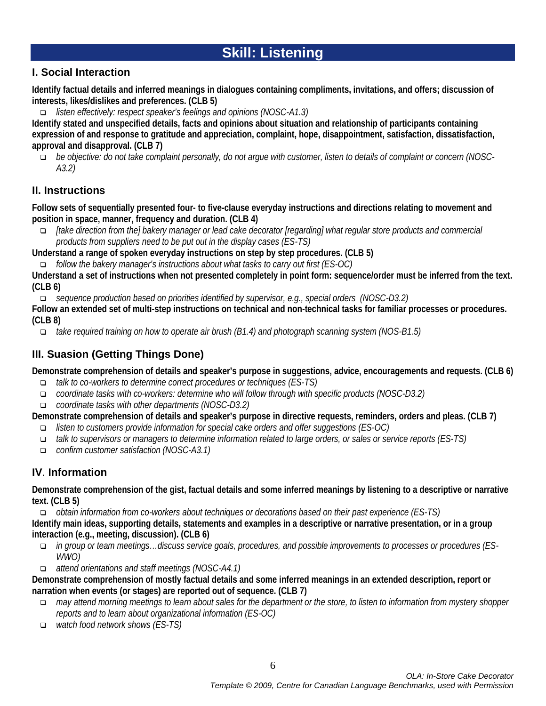# **Skill: Listening**

# **I. Social Interaction**

**Identify factual details and inferred meanings in dialogues containing compliments, invitations, and offers; discussion of interests, likes/dislikes and preferences. (CLB 5)**

*listen effectively: respect speaker's feelings and opinions (NOSC-A1.3)*

**Identify stated and unspecified details, facts and opinions about situation and relationship of participants containing expression of and response to gratitude and appreciation, complaint, hope, disappointment, satisfaction, dissatisfaction, approval and disapproval. (CLB 7)**

 *be objective: do not take complaint personally, do not argue with customer, listen to details of complaint or concern (NOSC-A3.2)*

# **II. Instructions**

**Follow sets of sequentially presented four- to five-clause everyday instructions and directions relating to movement and position in space, manner, frequency and duration. (CLB 4)**

 *[take direction from the] bakery manager or lead cake decorator [regarding] what regular store products and commercial products from suppliers need to be put out in the display cases (ES-TS)*

**Understand a range of spoken everyday instructions on step by step procedures. (CLB 5)**

*follow the bakery manager's instructions about what tasks to carry out first (ES-OC)*

**Understand a set of instructions when not presented completely in point form: sequence/order must be inferred from the text. (CLB 6)**

*sequence production based on priorities identified by supervisor, e.g., special orders (NOSC-D3.2)*

**Follow an extended set of multi-step instructions on technical and non-technical tasks for familiar processes or procedures. (CLB 8)**

*take required training on how to operate air brush (B1.4) and photograph scanning system (NOS-B1.5)* 

# **III. Suasion (Getting Things Done)**

**Demonstrate comprehension of details and speaker's purpose in suggestions, advice, encouragements and requests. (CLB 6)**

- *talk to co-workers to determine correct procedures or techniques (ES-TS)*
- *coordinate tasks with co-workers: determine who will follow through with specific products (NOSC-D3.2)*
- *coordinate tasks with other departments (NOSC-D3.2)*

**Demonstrate comprehension of details and speaker's purpose in directive requests, reminders, orders and pleas. (CLB 7)**

- *listen to customers provide information for special cake orders and offer suggestions (ES-OC)*
- *talk to supervisors or managers to determine information related to large orders, or sales or service reports (ES-TS)*
- *confirm customer satisfaction (NOSC-A3.1)*

# **IV**. **Information**

**Demonstrate comprehension of the gist, factual details and some inferred meanings by listening to a descriptive or narrative text. (CLB 5)**

*obtain information from co-workers about techniques or decorations based on their past experience (ES-TS)*

**Identify main ideas, supporting details, statements and examples in a descriptive or narrative presentation, or in a group interaction (e.g., meeting, discussion). (CLB 6)**

- *in group or team meetings…discuss service goals, procedures, and possible improvements to processes or procedures (ES-WWO)*
- *attend orientations and staff meetings (NOSC-A4.1)*

**Demonstrate comprehension of mostly factual details and some inferred meanings in an extended description, report or narration when events (or stages) are reported out of sequence. (CLB 7)**

- *may attend morning meetings to learn about sales for the department or the store, to listen to information from mystery shopper reports and to learn about organizational information (ES-OC)*
- *watch food network shows (ES-TS)*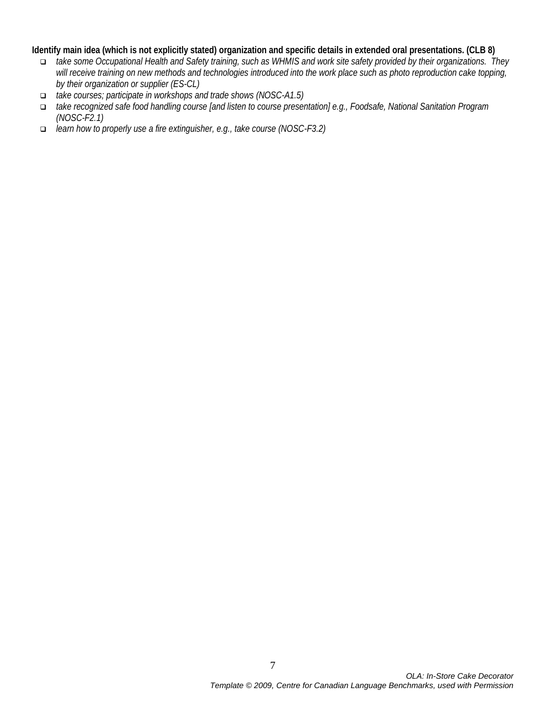#### **Identify main idea (which is not explicitly stated) organization and specific details in extended oral presentations. (CLB 8)**

- *take some Occupational Health and Safety training, such as WHMIS and work site safety provided by their organizations. They will receive training on new methods and technologies introduced into the work place such as photo reproduction cake topping, by their organization or supplier (ES-CL)*
- *take courses; participate in workshops and trade shows (NOSC-A1.5)*
- *take recognized safe food handling course [and listen to course presentation] e.g., Foodsafe, National Sanitation Program (NOSC-F2.1)*
- *learn how to properly use a fire extinguisher, e.g., take course (NOSC-F3.2)*

7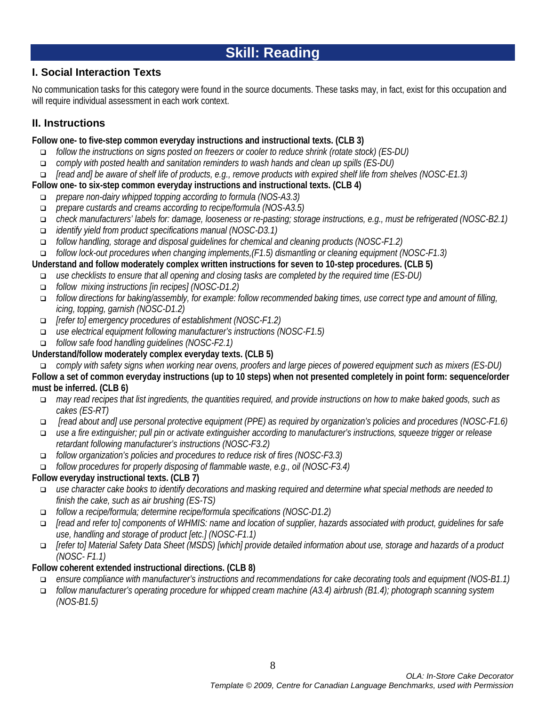# **Skill: Reading**

# **I. Social Interaction Texts**

No communication tasks for this category were found in the source documents. These tasks may, in fact, exist for this occupation and will require individual assessment in each work context.

# **II. Instructions**

### **Follow one- to five-step common everyday instructions and instructional texts. (CLB 3)**

- *follow the instructions on signs posted on freezers or cooler to reduce shrink (rotate stock) (ES-DU)*
- *comply with posted health and sanitation reminders to wash hands and clean up spills (ES-DU)*
- *[read and] be aware of shelf life of products, e.g., remove products with expired shelf life from shelves (NOSC-E1.3)*

### **Follow one- to six-step common everyday instructions and instructional texts. (CLB 4)**

- *prepare non-dairy whipped topping according to formula (NOS-A3.3)*
- *prepare custards and creams according to recipe/formula (NOS-A3.5)*
- *check manufacturers' labels for: damage, looseness or re-pasting; storage instructions, e.g., must be refrigerated (NOSC-B2.1)*
- *identify yield from product specifications manual (NOSC-D3.1)*
- *follow handling, storage and disposal guidelines for chemical and cleaning products (NOSC-F1.2)*
- *follow lock-out procedures when changing implements,(F1.5) dismantling or cleaning equipment (NOSC-F1.3)*

# **Understand and follow moderately complex written instructions for seven to 10-step procedures. (CLB 5)**

- *use checklists to ensure that all opening and closing tasks are completed by the required time (ES-DU)*
- *follow mixing instructions [in recipes] (NOSC-D1.2)*
- *follow directions for baking/assembly, for example: follow recommended baking times, use correct type and amount of filling, icing, topping, garnish (NOSC-D1.2)*
- *[refer to] emergency procedures of establishment (NOSC-F1.2)*
- *use electrical equipment following manufacturer's instructions (NOSC-F1.5)*
- *follow safe food handling guidelines (NOSC-F2.1)*

# **Understand/follow moderately complex everyday texts. (CLB 5)**

*comply with safety signs when working near ovens, proofers and large pieces of powered equipment such as mixers (ES-DU)*

**Follow a set of common everyday instructions (up to 10 steps) when not presented completely in point form: sequence/order must be inferred. (CLB 6)**

- *may read recipes that list ingredients, the quantities required, and provide instructions on how to make baked goods, such as cakes (ES-RT)*
- *[read about and] use personal protective equipment (PPE) as required by organization's policies and procedures (NOSC-F1.6)*
- *use a fire extinguisher; pull pin or activate extinguisher according to manufacturer's instructions, squeeze trigger or release retardant following manufacturer's instructions (NOSC-F3.2)*
- *follow organization's policies and procedures to reduce risk of fires (NOSC-F3.3)*
- *follow procedures for properly disposing of flammable waste, e.g., oil (NOSC-F3.4)*

# **Follow everyday instructional texts. (CLB 7)**

- *use character cake books to identify decorations and masking required and determine what special methods are needed to finish the cake, such as air brushing (ES-TS)*
- *follow a recipe/formula; determine recipe/formula specifications (NOSC-D1.2)*
- *[read and refer to] components of WHMIS: name and location of supplier, hazards associated with product, guidelines for safe use, handling and storage of product [etc.] (NOSC-F1.1)*
- *[refer to] Material Safety Data Sheet (MSDS) [which] provide detailed information about use, storage and hazards of a product (NOSC- F1.1)*

# **Follow coherent extended instructional directions. (CLB 8)**

- *ensure compliance with manufacturer's instructions and recommendations for cake decorating tools and equipment (NOS-B1.1)*
- *follow manufacturer's operating procedure for whipped cream machine (A3.4) airbrush (B1.4); photograph scanning system (NOS-B1.5)*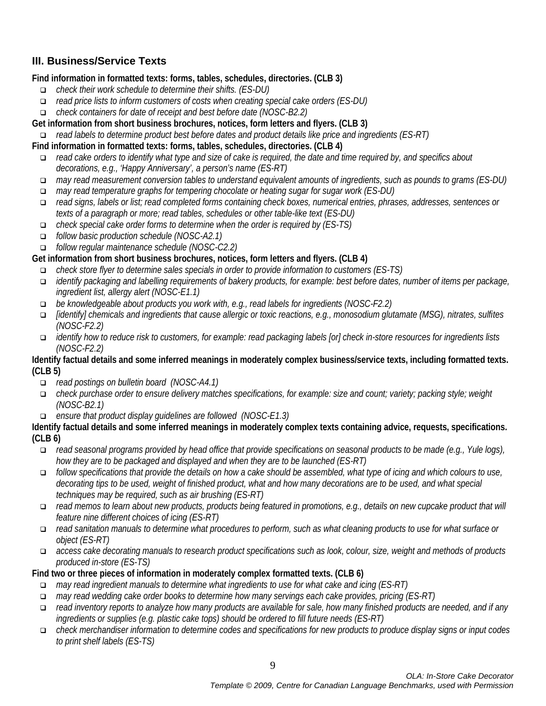# **III. Business/Service Texts**

# **Find information in formatted texts: forms, tables, schedules, directories. (CLB 3)**

- *check their work schedule to determine their shifts. (ES-DU)*
- *read price lists to inform customers of costs when creating special cake orders (ES-DU)*
- *check containers for date of receipt and best before date (NOSC-B2.2)*

## **Get information from short business brochures, notices, form letters and flyers. (CLB 3)**

*read labels to determine product best before dates and product details like price and ingredients (ES-RT)*

## **Find information in formatted texts: forms, tables, schedules, directories. (CLB 4)**

- *read cake orders to identify what type and size of cake is required, the date and time required by, and specifics about decorations, e.g., 'Happy Anniversary', a person's name (ES-RT)*
- *may read measurement conversion tables to understand equivalent amounts of ingredients, such as pounds to grams (ES-DU)*
- *may read temperature graphs for tempering chocolate or heating sugar for sugar work (ES-DU)*
- *read signs, labels or list; read completed forms containing check boxes, numerical entries, phrases, addresses, sentences or texts of a paragraph or more; read tables, schedules or other table-like text (ES-DU)*
- *check special cake order forms to determine when the order is required by (ES-TS)*
- *follow basic production schedule (NOSC-A2.1)*
- *follow regular maintenance schedule (NOSC-C2.2)*

# **Get information from short business brochures, notices, form letters and flyers. (CLB 4)**

- *check store flyer to determine sales specials in order to provide information to customers (ES-TS)*
- *identify packaging and labelling requirements of bakery products, for example: best before dates, number of items per package, ingredient list, allergy alert (NOSC-E1.1)*
- *be knowledgeable about products you work with, e.g., read labels for ingredients (NOSC-F2.2)*
- *[identify] chemicals and ingredients that cause allergic or toxic reactions, e.g., monosodium glutamate (MSG), nitrates, sulfites (NOSC-F2.2)*
- *identify how to reduce risk to customers, for example: read packaging labels [or] check in-store resources for ingredients lists (NOSC-F2.2)*

#### **Identify factual details and some inferred meanings in moderately complex business/service texts, including formatted texts. (CLB 5)**

- *read postings on bulletin board (NOSC-A4.1)*
- *check purchase order to ensure delivery matches specifications, for example: size and count; variety; packing style; weight (NOSC-B2.1)*
- *ensure that product display guidelines are followed (NOSC-E1.3)*

#### **Identify factual details and some inferred meanings in moderately complex texts containing advice, requests, specifications. (CLB 6)**

- *read seasonal programs provided by head office that provide specifications on seasonal products to be made (e.g., Yule logs), how they are to be packaged and displayed and when they are to be launched (ES-RT)*
- *follow specifications that provide the details on how a cake should be assembled, what type of icing and which colours to use,*  decorating tips to be used, weight of finished product, what and how many decorations are to be used, and what special *techniques may be required, such as air brushing (ES-RT)*
- *read memos to learn about new products, products being featured in promotions, e.g., details on new cupcake product that will feature nine different choices of icing (ES-RT)*
- *read sanitation manuals to determine what procedures to perform, such as what cleaning products to use for what surface or object (ES-RT)*
- *access cake decorating manuals to research product specifications such as look, colour, size, weight and methods of products produced in-store (ES-TS)*

#### **Find two or three pieces of information in moderately complex formatted texts. (CLB 6)**

- *may read ingredient manuals to determine what ingredients to use for what cake and icing (ES-RT)*
- *may read wedding cake order books to determine how many servings each cake provides, pricing (ES-RT)*
- *read inventory reports to analyze how many products are available for sale, how many finished products are needed, and if any ingredients or supplies (e.g. plastic cake tops) should be ordered to fill future needs (ES-RT)*
- *check merchandiser information to determine codes and specifications for new products to produce display signs or input codes to print shelf labels (ES-TS)*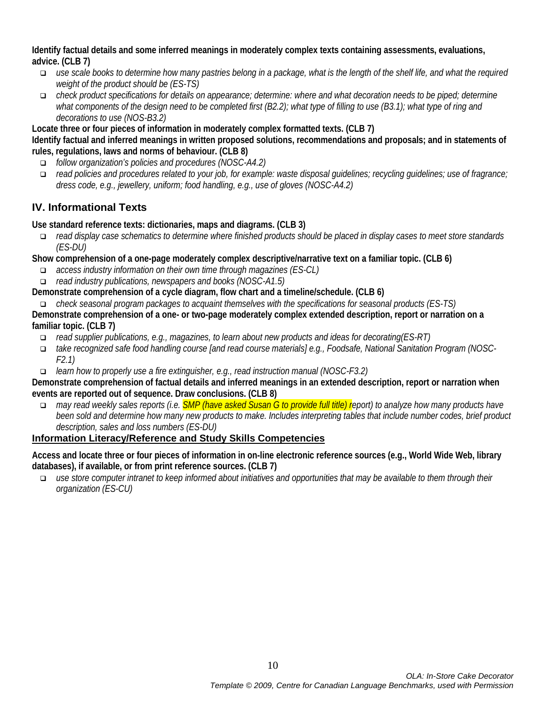**Identify factual details and some inferred meanings in moderately complex texts containing assessments, evaluations, advice. (CLB 7)**

- *use scale books to determine how many pastries belong in a package, what is the length of the shelf life, and what the required weight of the product should be (ES-TS)*
- *check product specifications for details on appearance; determine: where and what decoration needs to be piped; determine what components of the design need to be completed first (B2.2); what type of filling to use (B3.1); what type of ring and decorations to use (NOS-B3.2)*

#### **Locate three or four pieces of information in moderately complex formatted texts. (CLB 7)**

**Identify factual and inferred meanings in written proposed solutions, recommendations and proposals; and in statements of rules, regulations, laws and norms of behaviour. (CLB 8)**

- *follow organization's policies and procedures (NOSC-A4.2)*
- *read policies and procedures related to your job, for example: waste disposal guidelines; recycling guidelines; use of fragrance; dress code, e.g., jewellery, uniform; food handling, e.g., use of gloves (NOSC-A4.2)*

# **IV. Informational Texts**

**Use standard reference texts: dictionaries, maps and diagrams. (CLB 3)**

 *read display case schematics to determine where finished products should be placed in display cases to meet store standards (ES-DU)*

**Show comprehension of a one-page moderately complex descriptive/narrative text on a familiar topic. (CLB 6)**

- *access industry information on their own time through magazines (ES-CL)*
- *read industry publications, newspapers and books (NOSC-A1.5)*
- **Demonstrate comprehension of a cycle diagram, flow chart and a timeline/schedule. (CLB 6)**

 *check seasonal program packages to acquaint themselves with the specifications for seasonal products (ES-TS)* **Demonstrate comprehension of a one- or two-page moderately complex extended description, report or narration on a familiar topic. (CLB 7)**

- *read supplier publications, e.g., magazines, to learn about new products and ideas for decorating(ES-RT)*
- *take recognized safe food handling course [and read course materials] e.g., Foodsafe, National Sanitation Program (NOSC-F2.1)*
- *learn how to properly use a fire extinguisher, e.g., read instruction manual (NOSC-F3.2)*

**Demonstrate comprehension of factual details and inferred meanings in an extended description, report or narration when events are reported out of sequence. Draw conclusions. (CLB 8)**

 *may read weekly sales reports (i.e. SMP (have asked Susan G to provide full title) report) to analyze how many products have been sold and determine how many new products to make. Includes interpreting tables that include number codes, brief product description, sales and loss numbers (ES-DU)*

# **Information Literacy/Reference and Study Skills Competencies**

**Access and locate three or four pieces of information in on-line electronic reference sources (e.g., World Wide Web, library databases), if available, or from print reference sources. (CLB 7)** 

 *use store computer intranet to keep informed about initiatives and opportunities that may be available to them through their organization (ES-CU)*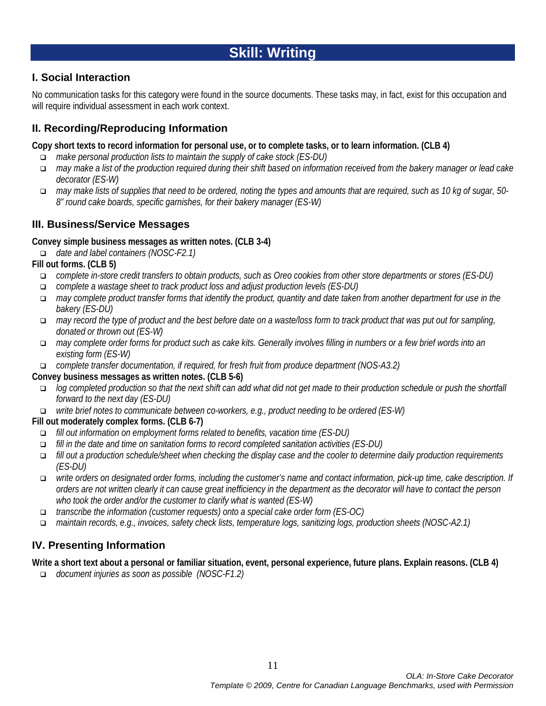# **Skill: Writing**

# **I. Social Interaction**

No communication tasks for this category were found in the source documents. These tasks may, in fact, exist for this occupation and will require individual assessment in each work context.

# **II. Recording/Reproducing Information**

**Copy short texts to record information for personal use, or to complete tasks, or to learn information. (CLB 4)**

- *make personal production lists to maintain the supply of cake stock (ES-DU)*
- *may make a list of the production required during their shift based on information received from the bakery manager or lead cake decorator (ES-W)*
- *may make lists of supplies that need to be ordered, noting the types and amounts that are required, such as 10 kg of sugar, 50- 8" round cake boards, specific garnishes, for their bakery manager (ES-W)*

# **III. Business/Service Messages**

#### **Convey simple business messages as written notes. (CLB 3-4)**

*date and label containers (NOSC-F2.1)*

#### **Fill out forms. (CLB 5)**

- *complete in-store credit transfers to obtain products, such as Oreo cookies from other store departments or stores (ES-DU)*
- *complete a wastage sheet to track product loss and adjust production levels (ES-DU)*
- *may complete product transfer forms that identify the product, quantity and date taken from another department for use in the bakery (ES-DU)*
- *may record the type of product and the best before date on a waste/loss form to track product that was put out for sampling, donated or thrown out (ES-W)*
- *may complete order forms for product such as cake kits. Generally involves filling in numbers or a few brief words into an existing form (ES-W)*
- *complete transfer documentation, if required, for fresh fruit from produce department (NOS-A3.2)*

#### **Convey business messages as written notes. (CLB 5-6)**

- *log completed production so that the next shift can add what did not get made to their production schedule or push the shortfall forward to the next day (ES-DU)*
- *write brief notes to communicate between co-workers, e.g., product needing to be ordered (ES-W)*

#### **Fill out moderately complex forms. (CLB 6-7)**

- *fill out information on employment forms related to benefits, vacation time (ES-DU)*
- *fill in the date and time on sanitation forms to record completed sanitation activities (ES-DU)*
- *fill out a production schedule/sheet when checking the display case and the cooler to determine daily production requirements (ES-DU)*
- *write orders on designated order forms, including the customer's name and contact information, pick-up time, cake description. If orders are not written clearly it can cause great inefficiency in the department as the decorator will have to contact the person who took the order and/or the customer to clarify what is wanted (ES-W)*
- *transcribe the information (customer requests) onto a special cake order form (ES-OC)*
- *maintain records, e.g., invoices, safety check lists, temperature logs, sanitizing logs, production sheets (NOSC-A2.1)*

# **IV. Presenting Information**

**Write a short text about a personal or familiar situation, event, personal experience, future plans. Explain reasons. (CLB 4)**

*document injuries as soon as possible (NOSC-F1.2)*